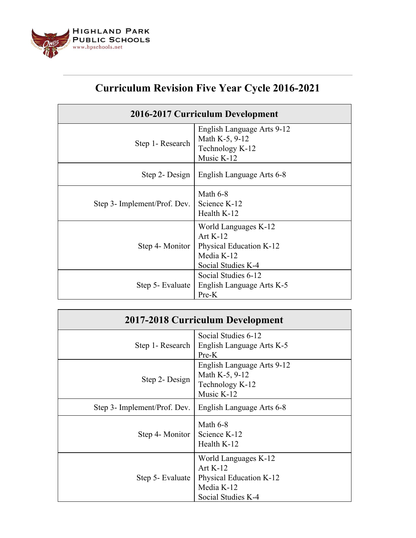

## **Curriculum Revision Five Year Cycle 2016-2021**

| 2016-2017 Curriculum Development |                                                                                                   |  |
|----------------------------------|---------------------------------------------------------------------------------------------------|--|
| Step 1- Research                 | English Language Arts 9-12<br>Math K-5, 9-12<br>Technology K-12<br>Music K-12                     |  |
|                                  | Step 2- Design   English Language Arts 6-8                                                        |  |
| Step 3- Implement/Prof. Dev.     | Math $6-8$<br>Science K-12<br>Health K-12                                                         |  |
| Step 4- Monitor                  | World Languages K-12<br>Art $K-12$<br>Physical Education K-12<br>Media K-12<br>Social Studies K-4 |  |
| Step 5- Evaluate                 | Social Studies 6-12<br>English Language Arts K-5<br>Pre-K                                         |  |

| 2017-2018 Curriculum Development |                                                                                                   |  |
|----------------------------------|---------------------------------------------------------------------------------------------------|--|
| Step 1- Research                 | Social Studies 6-12<br>English Language Arts K-5<br>Pre-K                                         |  |
| Step 2- Design                   | English Language Arts 9-12<br>Math K-5, 9-12<br>Technology K-12<br>Music $K-12$                   |  |
| Step 3- Implement/Prof. Dev.     | English Language Arts 6-8                                                                         |  |
| Step 4- Monitor                  | Math $6-8$<br>Science K-12<br>Health K-12                                                         |  |
| Step 5- Evaluate                 | World Languages K-12<br>Art $K-12$<br>Physical Education K-12<br>Media K-12<br>Social Studies K-4 |  |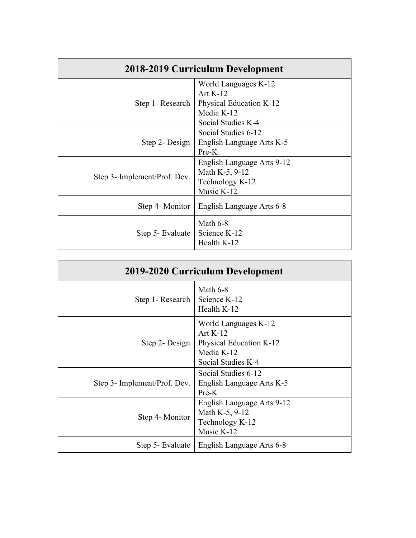| 2018-2019 Curriculum Development |                            |  |
|----------------------------------|----------------------------|--|
| Step 1- Research                 | World Languages K-12       |  |
|                                  | Art $K-12$                 |  |
|                                  | Physical Education K-12    |  |
|                                  | Media K-12                 |  |
|                                  | Social Studies K-4         |  |
| Step 2- Design                   | Social Studies 6-12        |  |
|                                  | English Language Arts K-5  |  |
|                                  | Pre-K                      |  |
| Step 3- Implement/Prof. Dev.     | English Language Arts 9-12 |  |
|                                  | Math K-5, 9-12             |  |
|                                  | Technology K-12            |  |
|                                  | Music K-12                 |  |
| Step 4- Monitor                  | English Language Arts 6-8  |  |
| Step 5- Evaluate                 | Math $6-8$                 |  |
|                                  | Science K-12               |  |
|                                  | Health K-12                |  |

| 2019-2020 Curriculum Development |                                                                                                   |
|----------------------------------|---------------------------------------------------------------------------------------------------|
| Step 1- Research                 | Math $6-8$<br>Science K-12<br>Health K-12                                                         |
| Step 2- Design $\vert$           | World Languages K-12<br>Art $K-12$<br>Physical Education K-12<br>Media K-12<br>Social Studies K-4 |
| Step 3- Implement/Prof. Dev.     | Social Studies 6-12<br>English Language Arts K-5<br>Pre-K                                         |
| Step 4- Monitor                  | English Language Arts 9-12<br>Math K-5, 9-12<br>Technology K-12<br>Music K-12                     |
| Step 5- Evaluate                 | English Language Arts 6-8                                                                         |